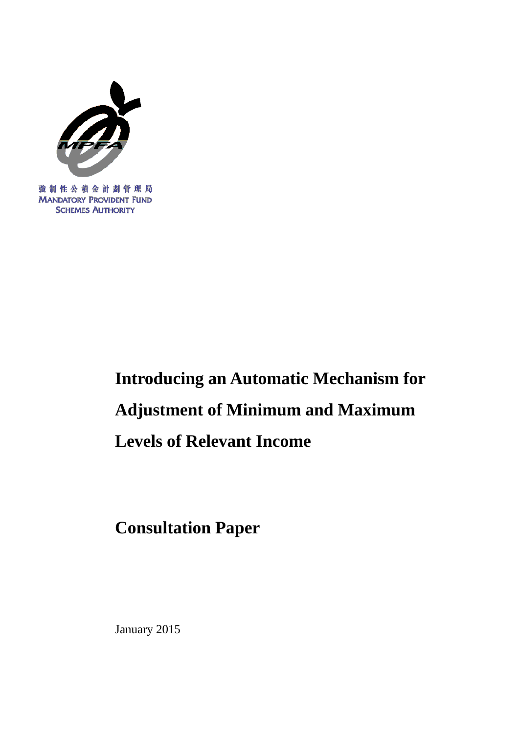

強制性公積金計劃管理局 **MANDATORY PROVIDENT FUND SCHEMES AUTHORITY** 

# **Introducing an Automatic Mechanism for Adjustment of Minimum and Maximum Levels of Relevant Income**

**Consultation Paper**

January 2015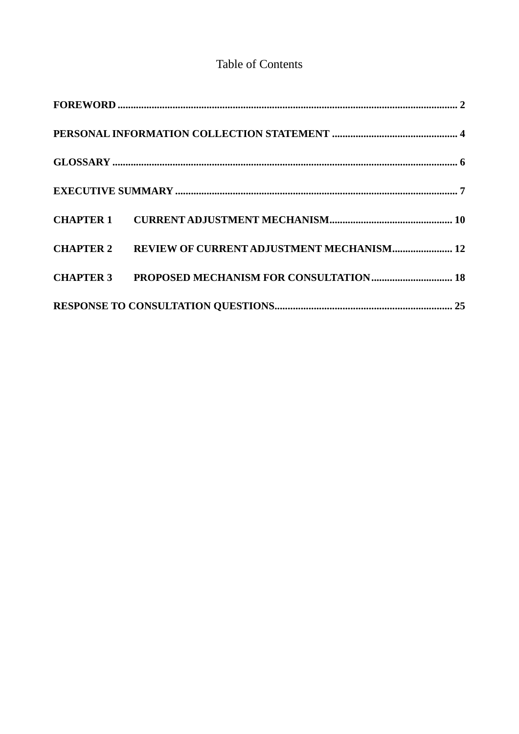# **Table of Contents**

| $\textbf{FOREWORD}\textcolor{red}{\bm{50}}\textbf{R} = \textbf{10} \textbf{0} \textbf{0} \textbf{0} \textbf{1} \textbf{1} \textbf{1} \textbf{1} \textbf{1} \textbf{1} \textbf{1} \textbf{1} \textbf{1} \textbf{1} \textbf{1} \textbf{1} \textbf{1} \textbf{1} \textbf{1} \textbf{1} \textbf{1} \textbf{1} \textbf{1} \textbf{1} \textbf{1} \textbf{1} \textbf{1} \textbf{1} \textbf{1} \textbf{1} \textbf{1} \textbf{1} \$ |  |
|----------------------------------------------------------------------------------------------------------------------------------------------------------------------------------------------------------------------------------------------------------------------------------------------------------------------------------------------------------------------------------------------------------------------------|--|
|                                                                                                                                                                                                                                                                                                                                                                                                                            |  |
|                                                                                                                                                                                                                                                                                                                                                                                                                            |  |
|                                                                                                                                                                                                                                                                                                                                                                                                                            |  |
|                                                                                                                                                                                                                                                                                                                                                                                                                            |  |
| <b>CHAPTER 2 REVIEW OF CURRENT ADJUSTMENT MECHANISM 12</b>                                                                                                                                                                                                                                                                                                                                                                 |  |
|                                                                                                                                                                                                                                                                                                                                                                                                                            |  |
|                                                                                                                                                                                                                                                                                                                                                                                                                            |  |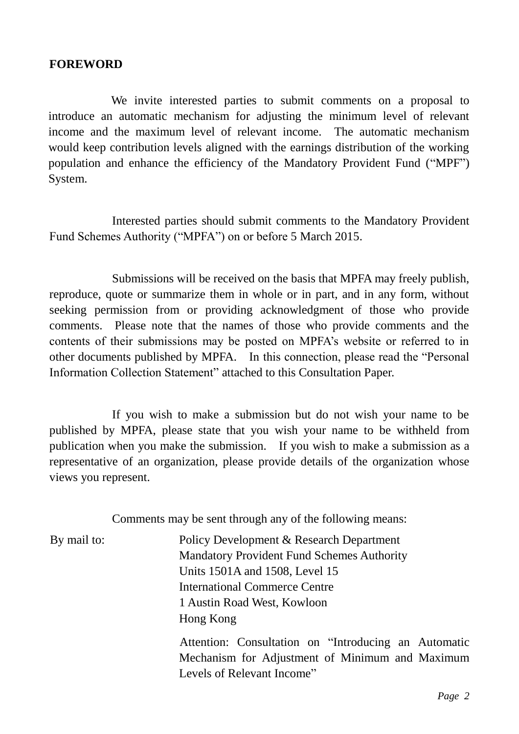#### <span id="page-2-0"></span>**FOREWORD**

We invite interested parties to submit comments on a proposal to introduce an automatic mechanism for adjusting the minimum level of relevant income and the maximum level of relevant income. The automatic mechanism would keep contribution levels aligned with the earnings distribution of the working population and enhance the efficiency of the Mandatory Provident Fund ("MPF") System.

Interested parties should submit comments to the Mandatory Provident Fund Schemes Authority ("MPFA") on or before 5 March 2015.

Submissions will be received on the basis that MPFA may freely publish, reproduce, quote or summarize them in whole or in part, and in any form, without seeking permission from or providing acknowledgment of those who provide comments. Please note that the names of those who provide comments and the contents of their submissions may be posted on MPFA's website or referred to in other documents published by MPFA. In this connection, please read the "Personal Information Collection Statement" attached to this Consultation Paper.

If you wish to make a submission but do not wish your name to be published by MPFA, please state that you wish your name to be withheld from publication when you make the submission. If you wish to make a submission as a representative of an organization, please provide details of the organization whose views you represent.

Comments may be sent through any of the following means:

By mail to: Policy Development & Research Department Mandatory Provident Fund Schemes Authority Units 1501A and 1508, Level 15 International Commerce Centre 1 Austin Road West, Kowloon Hong Kong

> Attention: Consultation on "Introducing an Automatic Mechanism for Adjustment of Minimum and Maximum Levels of Relevant Income"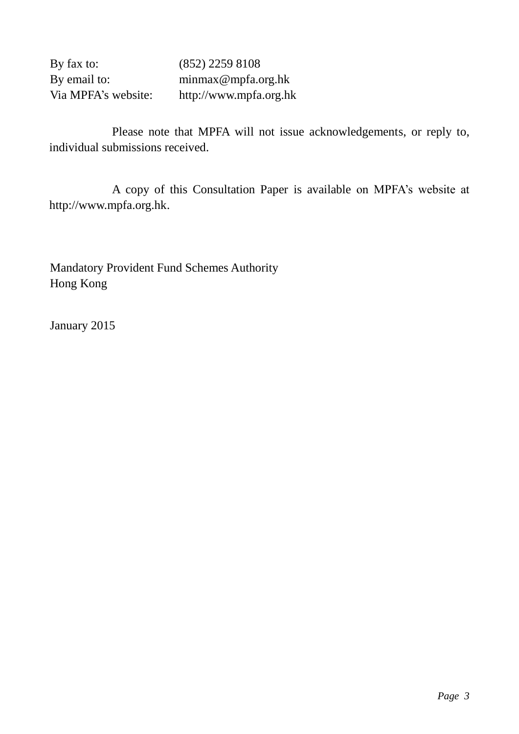By fax to: (852) 2259 8108 By email to: minmax@mpfa.org.hk Via MPFA's website: http://www.mpfa.org.hk

Please note that MPFA will not issue acknowledgements, or reply to, individual submissions received.

A copy of this Consultation Paper is available on MPFA's website at http://www.mpfa.org.hk.

Mandatory Provident Fund Schemes Authority Hong Kong

January 2015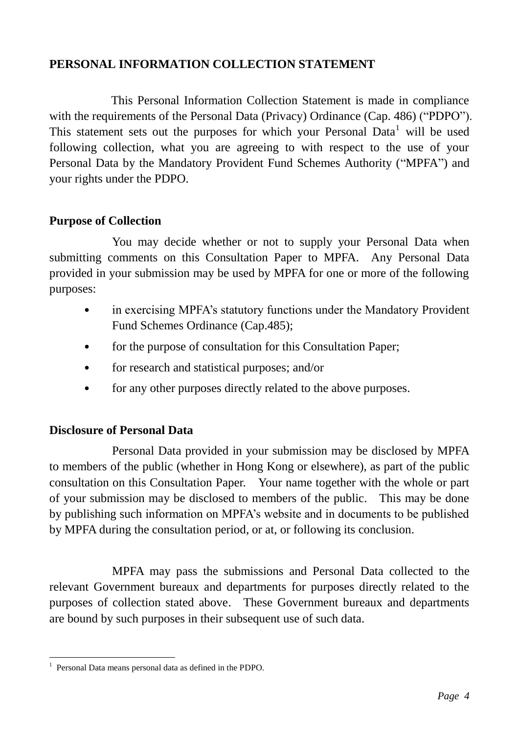# <span id="page-4-0"></span>**PERSONAL INFORMATION COLLECTION STATEMENT**

This Personal Information Collection Statement is made in compliance with the requirements of the Personal Data (Privacy) Ordinance (Cap. 486) ("PDPO"). This statement sets out the purposes for which your Personal Data<sup>1</sup> will be used following collection, what you are agreeing to with respect to the use of your Personal Data by the Mandatory Provident Fund Schemes Authority ("MPFA") and your rights under the PDPO.

## **Purpose of Collection**

You may decide whether or not to supply your Personal Data when submitting comments on this Consultation Paper to MPFA. Any Personal Data provided in your submission may be used by MPFA for one or more of the following purposes:

- in exercising MPFA's statutory functions under the Mandatory Provident Fund Schemes Ordinance (Cap.485);
- for the purpose of consultation for this Consultation Paper;
- for research and statistical purposes; and/or
- for any other purposes directly related to the above purposes.

## **Disclosure of Personal Data**

Personal Data provided in your submission may be disclosed by MPFA to members of the public (whether in Hong Kong or elsewhere), as part of the public consultation on this Consultation Paper. Your name together with the whole or part of your submission may be disclosed to members of the public. This may be done by publishing such information on MPFA's website and in documents to be published by MPFA during the consultation period, or at, or following its conclusion.

MPFA may pass the submissions and Personal Data collected to the relevant Government bureaux and departments for purposes directly related to the purposes of collection stated above. These Government bureaux and departments are bound by such purposes in their subsequent use of such data.

 1 Personal Data means personal data as defined in the PDPO.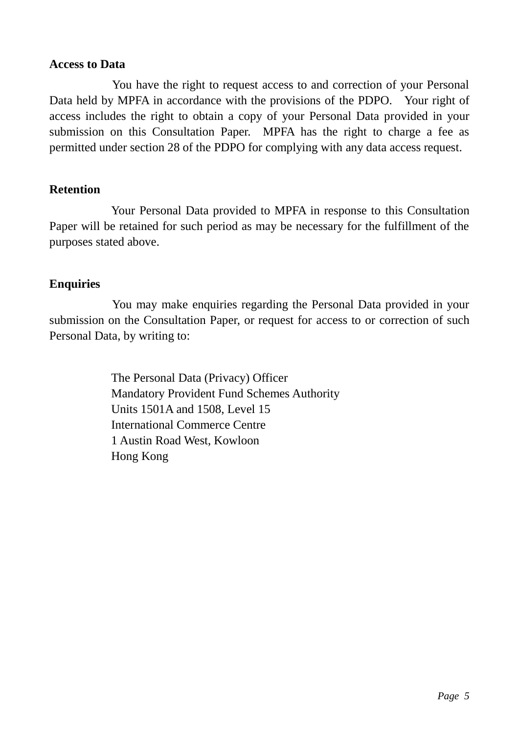#### **Access to Data**

You have the right to request access to and correction of your Personal Data held by MPFA in accordance with the provisions of the PDPO. Your right of access includes the right to obtain a copy of your Personal Data provided in your submission on this Consultation Paper. MPFA has the right to charge a fee as permitted under section 28 of the PDPO for complying with any data access request.

# **Retention**

Your Personal Data provided to MPFA in response to this Consultation Paper will be retained for such period as may be necessary for the fulfillment of the purposes stated above.

# **Enquiries**

You may make enquiries regarding the Personal Data provided in your submission on the Consultation Paper, or request for access to or correction of such Personal Data, by writing to:

> The Personal Data (Privacy) Officer Mandatory Provident Fund Schemes Authority Units 1501A and 1508, Level 15 International Commerce Centre 1 Austin Road West, Kowloon Hong Kong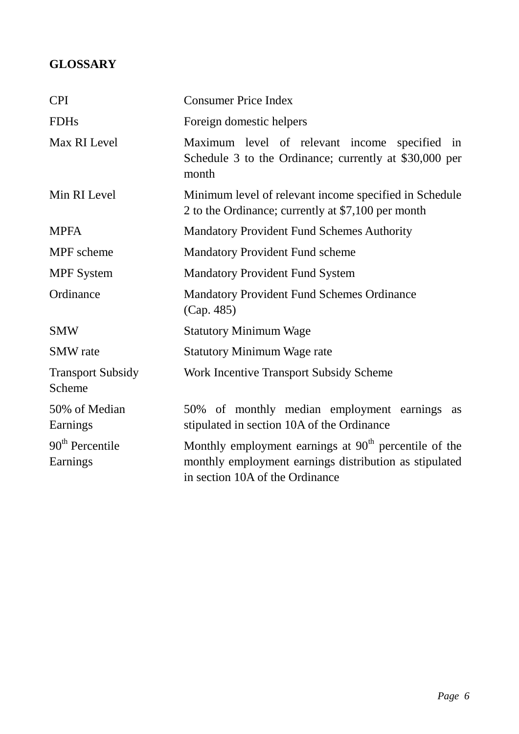# <span id="page-6-0"></span>**GLOSSARY**

| <b>CPI</b>                         | <b>Consumer Price Index</b>                                                                                                                                    |  |
|------------------------------------|----------------------------------------------------------------------------------------------------------------------------------------------------------------|--|
| <b>FDHs</b>                        | Foreign domestic helpers                                                                                                                                       |  |
| Max RI Level                       | Maximum level of relevant income specified in<br>Schedule 3 to the Ordinance; currently at \$30,000 per<br>month                                               |  |
| Min RI Level                       | Minimum level of relevant income specified in Schedule<br>2 to the Ordinance; currently at \$7,100 per month                                                   |  |
| <b>MPFA</b>                        | <b>Mandatory Provident Fund Schemes Authority</b>                                                                                                              |  |
| MPF scheme                         | <b>Mandatory Provident Fund scheme</b>                                                                                                                         |  |
| <b>MPF</b> System                  | <b>Mandatory Provident Fund System</b>                                                                                                                         |  |
| Ordinance                          | <b>Mandatory Provident Fund Schemes Ordinance</b><br>(Cap. 485)                                                                                                |  |
| <b>SMW</b>                         | <b>Statutory Minimum Wage</b>                                                                                                                                  |  |
| <b>SMW</b> rate                    | <b>Statutory Minimum Wage rate</b>                                                                                                                             |  |
| <b>Transport Subsidy</b><br>Scheme | <b>Work Incentive Transport Subsidy Scheme</b>                                                                                                                 |  |
| 50% of Median<br>Earnings          | 50% of monthly median employment earnings<br><b>as</b><br>stipulated in section 10A of the Ordinance                                                           |  |
| $90th$ Percentile<br>Earnings      | Monthly employment earnings at 90 <sup>th</sup> percentile of the<br>monthly employment earnings distribution as stipulated<br>in section 10A of the Ordinance |  |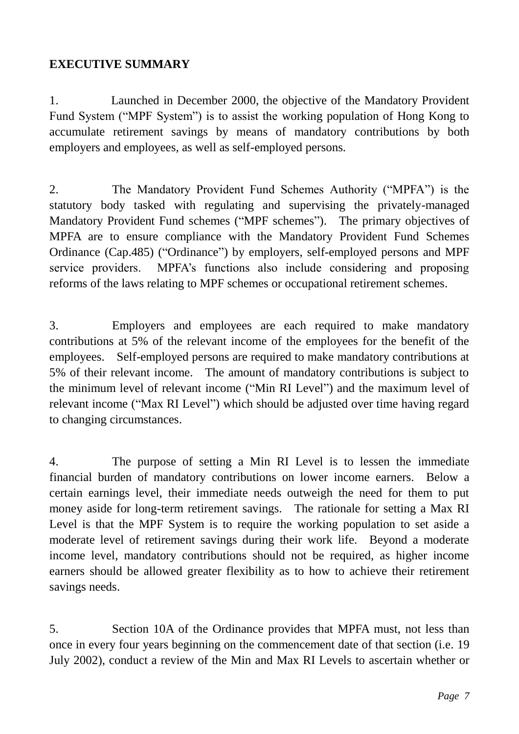# <span id="page-7-0"></span>**EXECUTIVE SUMMARY**

1. Launched in December 2000, the objective of the Mandatory Provident Fund System ("MPF System") is to assist the working population of Hong Kong to accumulate retirement savings by means of mandatory contributions by both employers and employees, as well as self-employed persons.

2. The Mandatory Provident Fund Schemes Authority ("MPFA") is the statutory body tasked with regulating and supervising the privately-managed Mandatory Provident Fund schemes ("MPF schemes"). The primary objectives of MPFA are to ensure compliance with the Mandatory Provident Fund Schemes Ordinance (Cap.485) ("Ordinance") by employers, self-employed persons and MPF service providers. MPFA's functions also include considering and proposing reforms of the laws relating to MPF schemes or occupational retirement schemes.

3. Employers and employees are each required to make mandatory contributions at 5% of the relevant income of the employees for the benefit of the employees. Self-employed persons are required to make mandatory contributions at 5% of their relevant income. The amount of mandatory contributions is subject to the minimum level of relevant income ("Min RI Level") and the maximum level of relevant income ("Max RI Level") which should be adjusted over time having regard to changing circumstances.

4. The purpose of setting a Min RI Level is to lessen the immediate financial burden of mandatory contributions on lower income earners. Below a certain earnings level, their immediate needs outweigh the need for them to put money aside for long-term retirement savings. The rationale for setting a Max RI Level is that the MPF System is to require the working population to set aside a moderate level of retirement savings during their work life. Beyond a moderate income level, mandatory contributions should not be required, as higher income earners should be allowed greater flexibility as to how to achieve their retirement savings needs.

5. Section 10A of the Ordinance provides that MPFA must, not less than once in every four years beginning on the commencement date of that section (i.e. 19 July 2002), conduct a review of the Min and Max RI Levels to ascertain whether or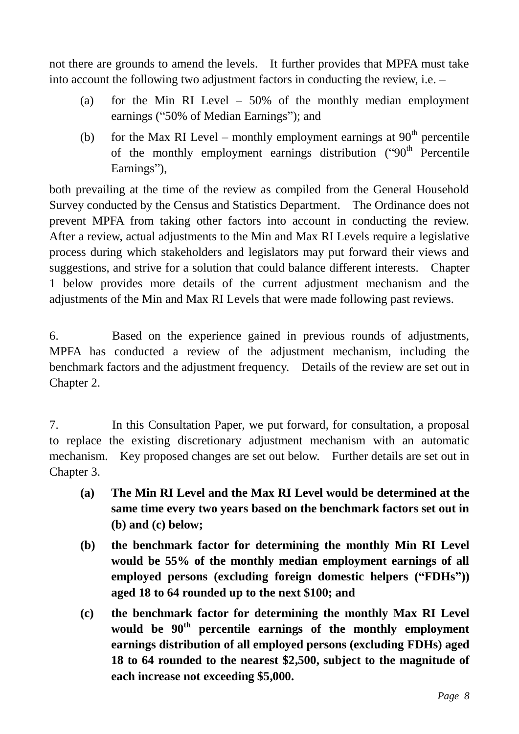not there are grounds to amend the levels. It further provides that MPFA must take into account the following two adjustment factors in conducting the review, i.e. –

- (a) for the Min RI Level 50% of the monthly median employment earnings ("50% of Median Earnings"); and
- (b) for the Max RI Level monthly employment earnings at  $90<sup>th</sup>$  percentile of the monthly employment earnings distribution  $(90<sup>th</sup>$  Percentile Earnings"),

both prevailing at the time of the review as compiled from the General Household Survey conducted by the Census and Statistics Department. The Ordinance does not prevent MPFA from taking other factors into account in conducting the review. After a review, actual adjustments to the Min and Max RI Levels require a legislative process during which stakeholders and legislators may put forward their views and suggestions, and strive for a solution that could balance different interests. Chapter 1 below provides more details of the current adjustment mechanism and the adjustments of the Min and Max RI Levels that were made following past reviews.

6. Based on the experience gained in previous rounds of adjustments, MPFA has conducted a review of the adjustment mechanism, including the benchmark factors and the adjustment frequency. Details of the review are set out in Chapter 2.

7. In this Consultation Paper, we put forward, for consultation, a proposal to replace the existing discretionary adjustment mechanism with an automatic mechanism. Key proposed changes are set out below. Further details are set out in Chapter 3.

- **(a) The Min RI Level and the Max RI Level would be determined at the same time every two years based on the benchmark factors set out in (b) and (c) below;**
- **(b) the benchmark factor for determining the monthly Min RI Level would be 55% of the monthly median employment earnings of all employed persons (excluding foreign domestic helpers ("FDHs")) aged 18 to 64 rounded up to the next \$100; and**
- **(c) the benchmark factor for determining the monthly Max RI Level would be 90th percentile earnings of the monthly employment earnings distribution of all employed persons (excluding FDHs) aged 18 to 64 rounded to the nearest \$2,500, subject to the magnitude of each increase not exceeding \$5,000.**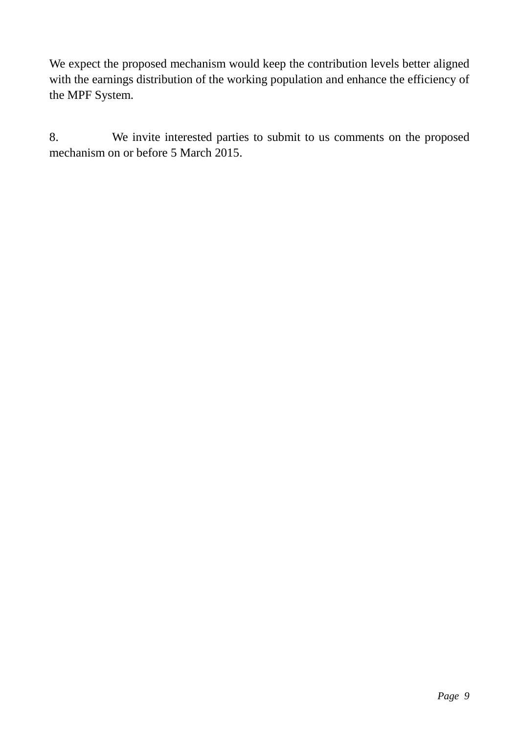We expect the proposed mechanism would keep the contribution levels better aligned with the earnings distribution of the working population and enhance the efficiency of the MPF System.

8. We invite interested parties to submit to us comments on the proposed mechanism on or before 5 March 2015.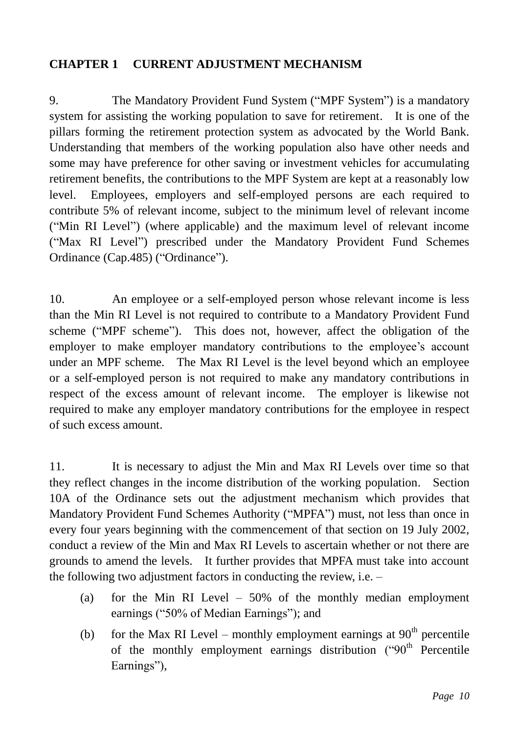## <span id="page-10-0"></span>**CHAPTER 1 CURRENT ADJUSTMENT MECHANISM**

9. The Mandatory Provident Fund System ("MPF System") is a mandatory system for assisting the working population to save for retirement. It is one of the pillars forming the retirement protection system as advocated by the World Bank. Understanding that members of the working population also have other needs and some may have preference for other saving or investment vehicles for accumulating retirement benefits, the contributions to the MPF System are kept at a reasonably low level. Employees, employers and self-employed persons are each required to contribute 5% of relevant income, subject to the minimum level of relevant income ("Min RI Level") (where applicable) and the maximum level of relevant income ("Max RI Level") prescribed under the Mandatory Provident Fund Schemes Ordinance (Cap.485) ("Ordinance").

10. An employee or a self-employed person whose relevant income is less than the Min RI Level is not required to contribute to a Mandatory Provident Fund scheme ("MPF scheme"). This does not, however, affect the obligation of the employer to make employer mandatory contributions to the employee's account under an MPF scheme. The Max RI Level is the level beyond which an employee or a self-employed person is not required to make any mandatory contributions in respect of the excess amount of relevant income. The employer is likewise not required to make any employer mandatory contributions for the employee in respect of such excess amount.

11. It is necessary to adjust the Min and Max RI Levels over time so that they reflect changes in the income distribution of the working population. Section 10A of the Ordinance sets out the adjustment mechanism which provides that Mandatory Provident Fund Schemes Authority ("MPFA") must, not less than once in every four years beginning with the commencement of that section on 19 July 2002, conduct a review of the Min and Max RI Levels to ascertain whether or not there are grounds to amend the levels. It further provides that MPFA must take into account the following two adjustment factors in conducting the review, i.e. –

- (a) for the Min RI Level 50% of the monthly median employment earnings ("50% of Median Earnings"); and
- (b) for the Max RI Level monthly employment earnings at  $90<sup>th</sup>$  percentile of the monthly employment earnings distribution  $($ "90<sup>th</sup> Percentile Earnings"),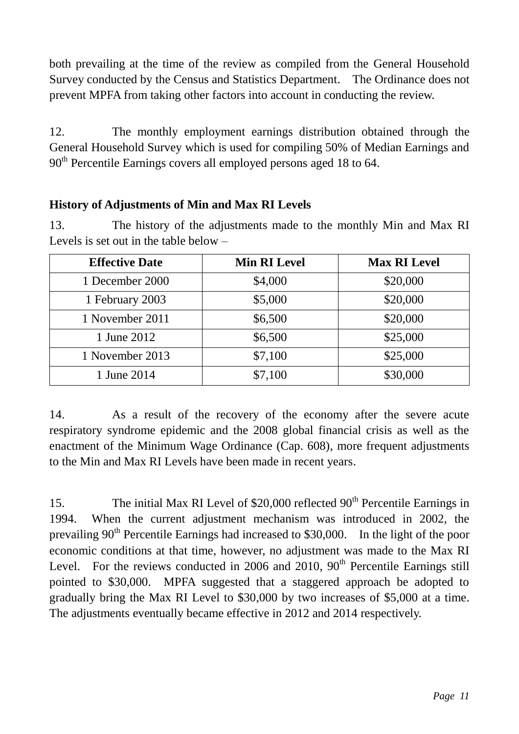both prevailing at the time of the review as compiled from the General Household Survey conducted by the Census and Statistics Department. The Ordinance does not prevent MPFA from taking other factors into account in conducting the review.

12. The monthly employment earnings distribution obtained through the General Household Survey which is used for compiling 50% of Median Earnings and 90<sup>th</sup> Percentile Earnings covers all employed persons aged 18 to 64.

# **History of Adjustments of Min and Max RI Levels**

13. The history of the adjustments made to the monthly Min and Max RI Levels is set out in the table below –

| <b>Effective Date</b> | <b>Min RI Level</b> | <b>Max RI Level</b> |
|-----------------------|---------------------|---------------------|
| 1 December 2000       | \$4,000             | \$20,000            |
| 1 February 2003       | \$5,000             | \$20,000            |
| 1 November 2011       | \$6,500             | \$20,000            |
| 1 June 2012           | \$6,500             | \$25,000            |
| 1 November 2013       | \$7,100             | \$25,000            |
| 1 June 2014           | \$7,100             | \$30,000            |

14. As a result of the recovery of the economy after the severe acute respiratory syndrome epidemic and the 2008 global financial crisis as well as the enactment of the Minimum Wage Ordinance (Cap. 608), more frequent adjustments to the Min and Max RI Levels have been made in recent years.

15. The initial Max RI Level of  $$20,000$  reflected  $90<sup>th</sup>$  Percentile Earnings in 1994. When the current adjustment mechanism was introduced in 2002, the prevailing  $90<sup>th</sup>$  Percentile Earnings had increased to \$30,000. In the light of the poor economic conditions at that time, however, no adjustment was made to the Max RI Level. For the reviews conducted in 2006 and 2010,  $90<sup>th</sup>$  Percentile Earnings still pointed to \$30,000. MPFA suggested that a staggered approach be adopted to gradually bring the Max RI Level to \$30,000 by two increases of \$5,000 at a time. The adjustments eventually became effective in 2012 and 2014 respectively.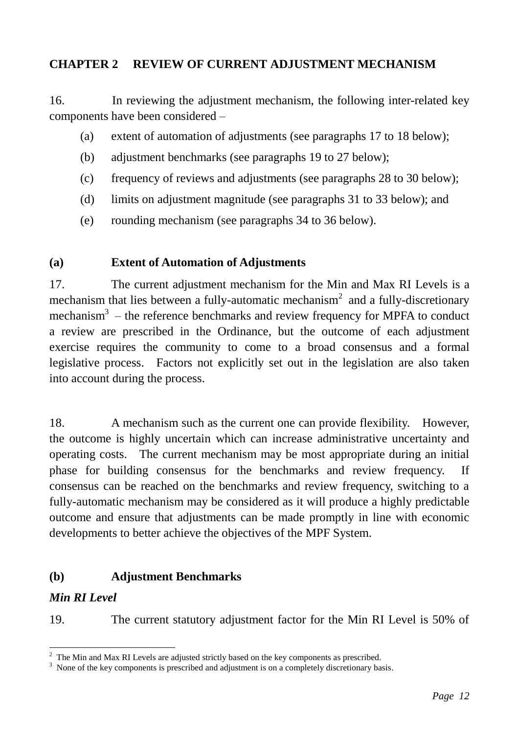## <span id="page-12-0"></span>**CHAPTER 2 REVIEW OF CURRENT ADJUSTMENT MECHANISM**

16. In reviewing the adjustment mechanism, the following inter-related key components have been considered –

- (a) extent of automation of adjustments (see paragraphs 17 to 18 below);
- (b) adjustment benchmarks (see paragraphs 19 to 27 below);
- (c) frequency of reviews and adjustments (see paragraphs 28 to 30 below);
- (d) limits on adjustment magnitude (see paragraphs 31 to 33 below); and
- (e) rounding mechanism (see paragraphs 34 to 36 below).

## **(a) Extent of Automation of Adjustments**

17. The current adjustment mechanism for the Min and Max RI Levels is a mechanism that lies between a fully-automatic mechanism<sup>2</sup> and a fully-discretionary mechanism<sup>3</sup> – the reference benchmarks and review frequency for MPFA to conduct a review are prescribed in the Ordinance, but the outcome of each adjustment exercise requires the community to come to a broad consensus and a formal legislative process. Factors not explicitly set out in the legislation are also taken into account during the process.

18. A mechanism such as the current one can provide flexibility. However, the outcome is highly uncertain which can increase administrative uncertainty and operating costs. The current mechanism may be most appropriate during an initial phase for building consensus for the benchmarks and review frequency. If consensus can be reached on the benchmarks and review frequency, switching to a fully-automatic mechanism may be considered as it will produce a highly predictable outcome and ensure that adjustments can be made promptly in line with economic developments to better achieve the objectives of the MPF System.

## **(b) Adjustment Benchmarks**

## *Min RI Level*

<u>.</u>

19. The current statutory adjustment factor for the Min RI Level is 50% of

 $2\degree$  The Min and Max RI Levels are adjusted strictly based on the key components as prescribed.

<sup>&</sup>lt;sup>3</sup> None of the key components is prescribed and adjustment is on a completely discretionary basis.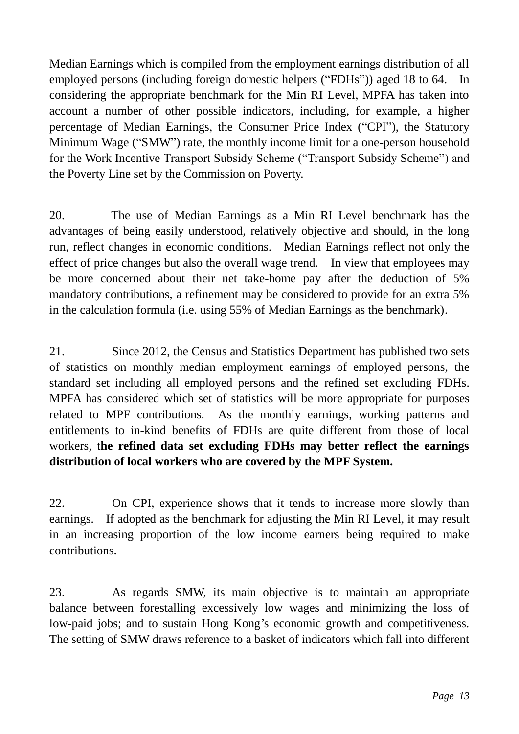Median Earnings which is compiled from the employment earnings distribution of all employed persons (including foreign domestic helpers ("FDHs")) aged 18 to 64. In considering the appropriate benchmark for the Min RI Level, MPFA has taken into account a number of other possible indicators, including, for example, a higher percentage of Median Earnings, the Consumer Price Index ("CPI"), the Statutory Minimum Wage ("SMW") rate, the monthly income limit for a one-person household for the Work Incentive Transport Subsidy Scheme ("Transport Subsidy Scheme") and the Poverty Line set by the Commission on Poverty.

20. The use of Median Earnings as a Min RI Level benchmark has the advantages of being easily understood, relatively objective and should, in the long run, reflect changes in economic conditions. Median Earnings reflect not only the effect of price changes but also the overall wage trend. In view that employees may be more concerned about their net take-home pay after the deduction of 5% mandatory contributions, a refinement may be considered to provide for an extra 5% in the calculation formula (i.e. using 55% of Median Earnings as the benchmark).

21. Since 2012, the Census and Statistics Department has published two sets of statistics on monthly median employment earnings of employed persons, the standard set including all employed persons and the refined set excluding FDHs. MPFA has considered which set of statistics will be more appropriate for purposes related to MPF contributions. As the monthly earnings, working patterns and entitlements to in-kind benefits of FDHs are quite different from those of local workers, t**he refined data set excluding FDHs may better reflect the earnings distribution of local workers who are covered by the MPF System.**

22. On CPI, experience shows that it tends to increase more slowly than earnings. If adopted as the benchmark for adjusting the Min RI Level, it may result in an increasing proportion of the low income earners being required to make contributions.

23. As regards SMW, its main objective is to maintain an appropriate balance between forestalling excessively low wages and minimizing the loss of low-paid jobs; and to sustain Hong Kong's economic growth and competitiveness. The setting of SMW draws reference to a basket of indicators which fall into different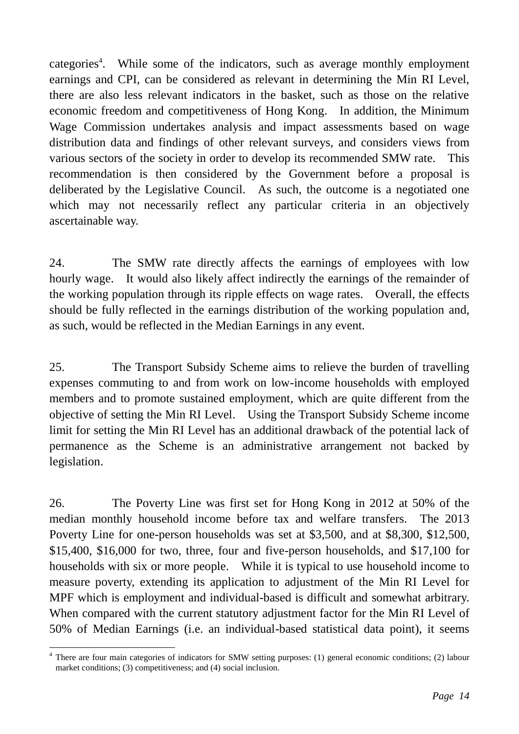categories<sup>4</sup>. While some of the indicators, such as average monthly employment earnings and CPI, can be considered as relevant in determining the Min RI Level, there are also less relevant indicators in the basket, such as those on the relative economic freedom and competitiveness of Hong Kong. In addition, the Minimum Wage Commission undertakes analysis and impact assessments based on wage distribution data and findings of other relevant surveys, and considers views from various sectors of the society in order to develop its recommended SMW rate. This recommendation is then considered by the Government before a proposal is deliberated by the Legislative Council. As such, the outcome is a negotiated one which may not necessarily reflect any particular criteria in an objectively ascertainable way.

24. The SMW rate directly affects the earnings of employees with low hourly wage. It would also likely affect indirectly the earnings of the remainder of the working population through its ripple effects on wage rates. Overall, the effects should be fully reflected in the earnings distribution of the working population and, as such, would be reflected in the Median Earnings in any event.

25. The Transport Subsidy Scheme aims to relieve the burden of travelling expenses commuting to and from work on low-income households with employed members and to promote sustained employment, which are quite different from the objective of setting the Min RI Level. Using the Transport Subsidy Scheme income limit for setting the Min RI Level has an additional drawback of the potential lack of permanence as the Scheme is an administrative arrangement not backed by legislation.

26. The Poverty Line was first set for Hong Kong in 2012 at 50% of the median monthly household income before tax and welfare transfers. The 2013 Poverty Line for one-person households was set at \$3,500, and at \$8,300, \$12,500, \$15,400, \$16,000 for two, three, four and five-person households, and \$17,100 for households with six or more people. While it is typical to use household income to measure poverty, extending its application to adjustment of the Min RI Level for MPF which is employment and individual-based is difficult and somewhat arbitrary. When compared with the current statutory adjustment factor for the Min RI Level of 50% of Median Earnings (i.e. an individual-based statistical data point), it seems

<sup>&</sup>lt;u>.</u> <sup>4</sup> There are four main categories of indicators for SMW setting purposes: (1) general economic conditions; (2) labour market conditions; (3) competitiveness; and (4) social inclusion.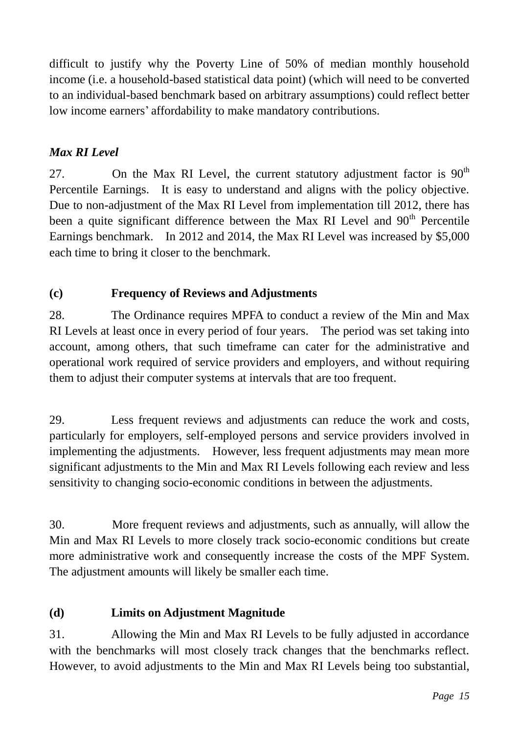difficult to justify why the Poverty Line of 50% of median monthly household income (i.e. a household-based statistical data point) (which will need to be converted to an individual-based benchmark based on arbitrary assumptions) could reflect better low income earners' affordability to make mandatory contributions.

# *Max RI Level*

27. On the Max RI Level, the current statutory adjustment factor is  $90<sup>th</sup>$ Percentile Earnings. It is easy to understand and aligns with the policy objective. Due to non-adjustment of the Max RI Level from implementation till 2012, there has been a quite significant difference between the Max RI Level and 90<sup>th</sup> Percentile Earnings benchmark. In 2012 and 2014, the Max RI Level was increased by \$5,000 each time to bring it closer to the benchmark.

# **(c) Frequency of Reviews and Adjustments**

28. The Ordinance requires MPFA to conduct a review of the Min and Max RI Levels at least once in every period of four years. The period was set taking into account, among others, that such timeframe can cater for the administrative and operational work required of service providers and employers, and without requiring them to adjust their computer systems at intervals that are too frequent.

29. Less frequent reviews and adjustments can reduce the work and costs, particularly for employers, self-employed persons and service providers involved in implementing the adjustments. However, less frequent adjustments may mean more significant adjustments to the Min and Max RI Levels following each review and less sensitivity to changing socio-economic conditions in between the adjustments.

30. More frequent reviews and adjustments, such as annually, will allow the Min and Max RI Levels to more closely track socio-economic conditions but create more administrative work and consequently increase the costs of the MPF System. The adjustment amounts will likely be smaller each time.

# **(d) Limits on Adjustment Magnitude**

31. Allowing the Min and Max RI Levels to be fully adjusted in accordance with the benchmarks will most closely track changes that the benchmarks reflect. However, to avoid adjustments to the Min and Max RI Levels being too substantial,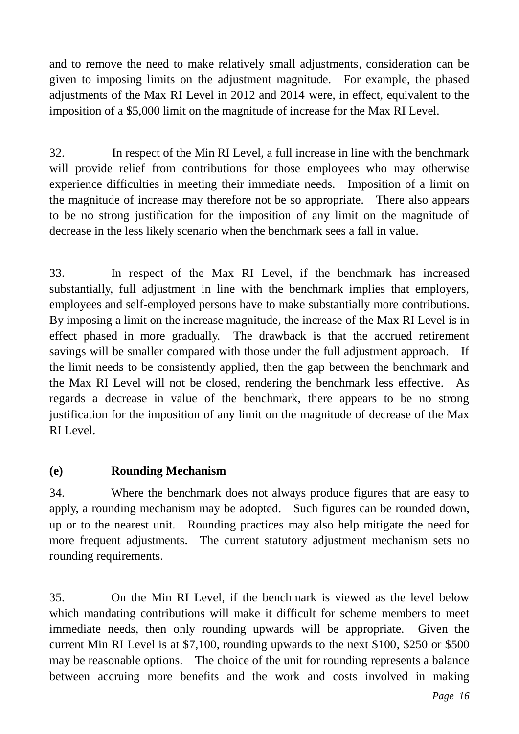and to remove the need to make relatively small adjustments, consideration can be given to imposing limits on the adjustment magnitude. For example, the phased adjustments of the Max RI Level in 2012 and 2014 were, in effect, equivalent to the imposition of a \$5,000 limit on the magnitude of increase for the Max RI Level.

32. In respect of the Min RI Level, a full increase in line with the benchmark will provide relief from contributions for those employees who may otherwise experience difficulties in meeting their immediate needs. Imposition of a limit on the magnitude of increase may therefore not be so appropriate. There also appears to be no strong justification for the imposition of any limit on the magnitude of decrease in the less likely scenario when the benchmark sees a fall in value.

33. In respect of the Max RI Level, if the benchmark has increased substantially, full adjustment in line with the benchmark implies that employers, employees and self-employed persons have to make substantially more contributions. By imposing a limit on the increase magnitude, the increase of the Max RI Level is in effect phased in more gradually. The drawback is that the accrued retirement savings will be smaller compared with those under the full adjustment approach. If the limit needs to be consistently applied, then the gap between the benchmark and the Max RI Level will not be closed, rendering the benchmark less effective. As regards a decrease in value of the benchmark, there appears to be no strong justification for the imposition of any limit on the magnitude of decrease of the Max RI Level.

# **(e) Rounding Mechanism**

34. Where the benchmark does not always produce figures that are easy to apply, a rounding mechanism may be adopted. Such figures can be rounded down, up or to the nearest unit. Rounding practices may also help mitigate the need for more frequent adjustments. The current statutory adjustment mechanism sets no rounding requirements.

35. On the Min RI Level, if the benchmark is viewed as the level below which mandating contributions will make it difficult for scheme members to meet immediate needs, then only rounding upwards will be appropriate. Given the current Min RI Level is at \$7,100, rounding upwards to the next \$100, \$250 or \$500 may be reasonable options. The choice of the unit for rounding represents a balance between accruing more benefits and the work and costs involved in making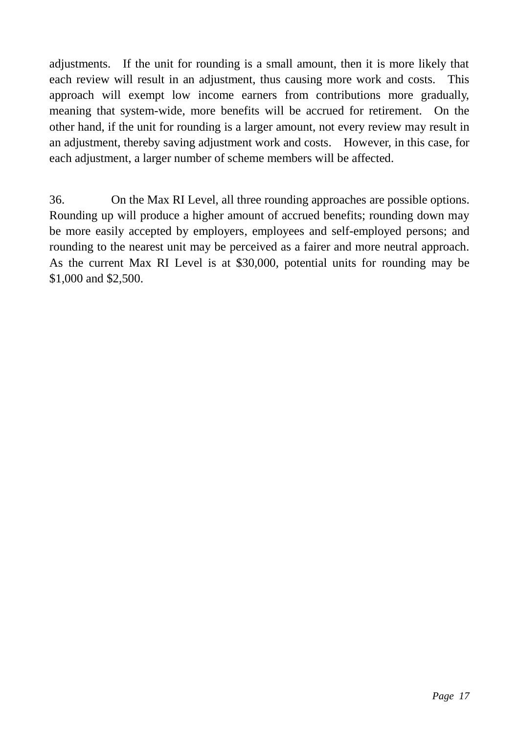adjustments. If the unit for rounding is a small amount, then it is more likely that each review will result in an adjustment, thus causing more work and costs. This approach will exempt low income earners from contributions more gradually, meaning that system-wide, more benefits will be accrued for retirement. On the other hand, if the unit for rounding is a larger amount, not every review may result in an adjustment, thereby saving adjustment work and costs. However, in this case, for each adjustment, a larger number of scheme members will be affected.

36. On the Max RI Level, all three rounding approaches are possible options. Rounding up will produce a higher amount of accrued benefits; rounding down may be more easily accepted by employers, employees and self-employed persons; and rounding to the nearest unit may be perceived as a fairer and more neutral approach. As the current Max RI Level is at \$30,000, potential units for rounding may be \$1,000 and \$2,500.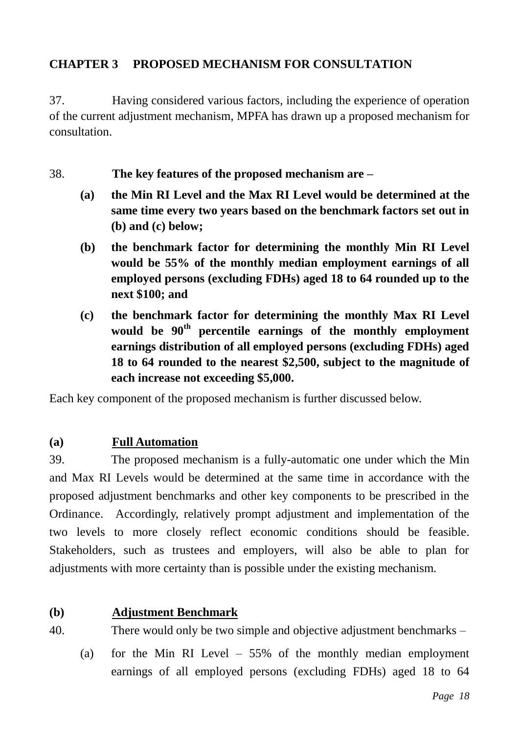# <span id="page-18-0"></span>**CHAPTER 3 PROPOSED MECHANISM FOR CONSULTATION**

37. Having considered various factors, including the experience of operation of the current adjustment mechanism, MPFA has drawn up a proposed mechanism for consultation.

38. **The key features of the proposed mechanism are –**

- **(a) the Min RI Level and the Max RI Level would be determined at the same time every two years based on the benchmark factors set out in (b) and (c) below;**
- **(b) the benchmark factor for determining the monthly Min RI Level would be 55% of the monthly median employment earnings of all employed persons (excluding FDHs) aged 18 to 64 rounded up to the next \$100; and**
- **(c) the benchmark factor for determining the monthly Max RI Level would be 90th percentile earnings of the monthly employment earnings distribution of all employed persons (excluding FDHs) aged 18 to 64 rounded to the nearest \$2,500, subject to the magnitude of each increase not exceeding \$5,000.**

Each key component of the proposed mechanism is further discussed below.

## **(a) Full Automation**

39. The proposed mechanism is a fully-automatic one under which the Min and Max RI Levels would be determined at the same time in accordance with the proposed adjustment benchmarks and other key components to be prescribed in the Ordinance. Accordingly, relatively prompt adjustment and implementation of the two levels to more closely reflect economic conditions should be feasible. Stakeholders, such as trustees and employers, will also be able to plan for adjustments with more certainty than is possible under the existing mechanism.

## **(b) Adjustment Benchmark**

40. There would only be two simple and objective adjustment benchmarks –

(a) for the Min RI Level – 55% of the monthly median employment earnings of all employed persons (excluding FDHs) aged 18 to 64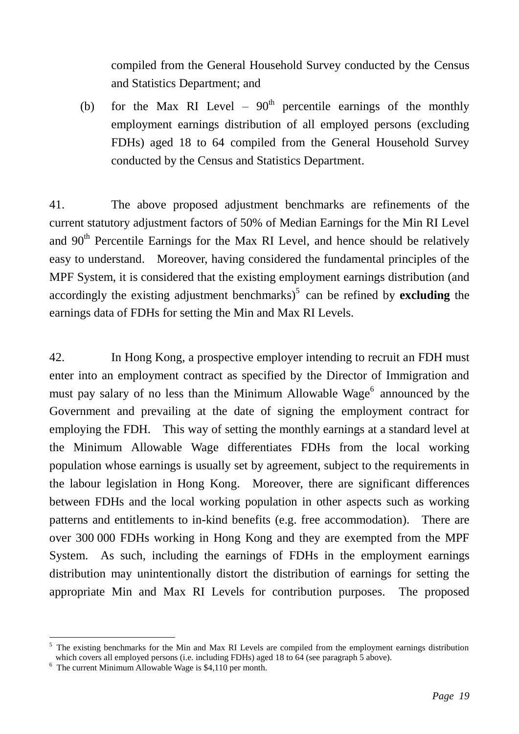compiled from the General Household Survey conducted by the Census and Statistics Department; and

(b) for the Max RI Level –  $90<sup>th</sup>$  percentile earnings of the monthly employment earnings distribution of all employed persons (excluding FDHs) aged 18 to 64 compiled from the General Household Survey conducted by the Census and Statistics Department.

41. The above proposed adjustment benchmarks are refinements of the current statutory adjustment factors of 50% of Median Earnings for the Min RI Level and  $90<sup>th</sup>$  Percentile Earnings for the Max RI Level, and hence should be relatively easy to understand. Moreover, having considered the fundamental principles of the MPF System, it is considered that the existing employment earnings distribution (and accordingly the existing adjustment benchmarks)<sup>5</sup> can be refined by **excluding** the earnings data of FDHs for setting the Min and Max RI Levels.

42. In Hong Kong, a prospective employer intending to recruit an FDH must enter into an employment contract as specified by the Director of Immigration and must pay salary of no less than the Minimum Allowable Wage $<sup>6</sup>$  announced by the</sup> Government and prevailing at the date of signing the employment contract for employing the FDH. This way of setting the monthly earnings at a standard level at the Minimum Allowable Wage differentiates FDHs from the local working population whose earnings is usually set by agreement, subject to the requirements in the labour legislation in Hong Kong. Moreover, there are significant differences between FDHs and the local working population in other aspects such as working patterns and entitlements to in-kind benefits (e.g. free accommodation). There are over 300 000 FDHs working in Hong Kong and they are exempted from the MPF System. As such, including the earnings of FDHs in the employment earnings distribution may unintentionally distort the distribution of earnings for setting the appropriate Min and Max RI Levels for contribution purposes. The proposed

<sup>1</sup> <sup>5</sup> The existing benchmarks for the Min and Max RI Levels are compiled from the employment earnings distribution which covers all employed persons (i.e. including FDHs) aged 18 to 64 (see paragraph 5 above).

 $6\text{ The current Minimum}$  Allowable Wage is \$4,110 per month.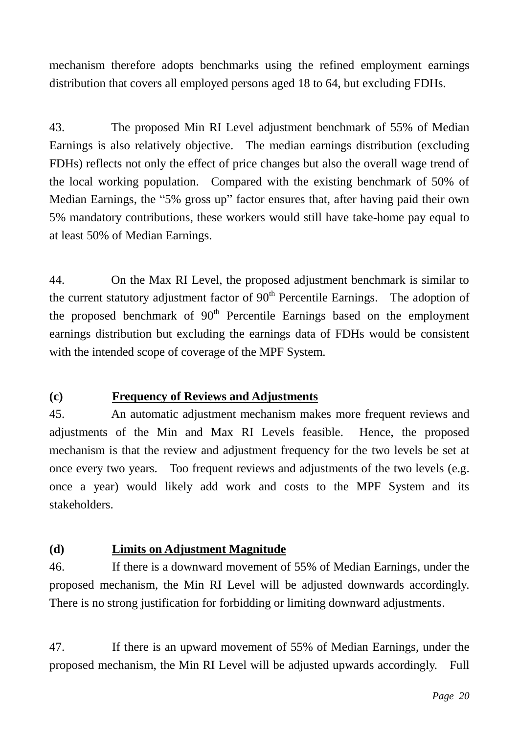mechanism therefore adopts benchmarks using the refined employment earnings distribution that covers all employed persons aged 18 to 64, but excluding FDHs.

43. The proposed Min RI Level adjustment benchmark of 55% of Median Earnings is also relatively objective. The median earnings distribution (excluding FDHs) reflects not only the effect of price changes but also the overall wage trend of the local working population. Compared with the existing benchmark of 50% of Median Earnings, the "5% gross up" factor ensures that, after having paid their own 5% mandatory contributions, these workers would still have take-home pay equal to at least 50% of Median Earnings.

44. On the Max RI Level, the proposed adjustment benchmark is similar to the current statutory adjustment factor of  $90<sup>th</sup>$  Percentile Earnings. The adoption of the proposed benchmark of  $90<sup>th</sup>$  Percentile Earnings based on the employment earnings distribution but excluding the earnings data of FDHs would be consistent with the intended scope of coverage of the MPF System.

# **(c) Frequency of Reviews and Adjustments**

45. An automatic adjustment mechanism makes more frequent reviews and adjustments of the Min and Max RI Levels feasible. Hence, the proposed mechanism is that the review and adjustment frequency for the two levels be set at once every two years. Too frequent reviews and adjustments of the two levels (e.g. once a year) would likely add work and costs to the MPF System and its stakeholders.

## **(d) Limits on Adjustment Magnitude**

46. If there is a downward movement of 55% of Median Earnings, under the proposed mechanism, the Min RI Level will be adjusted downwards accordingly. There is no strong justification for forbidding or limiting downward adjustments.

47. If there is an upward movement of 55% of Median Earnings, under the proposed mechanism, the Min RI Level will be adjusted upwards accordingly. Full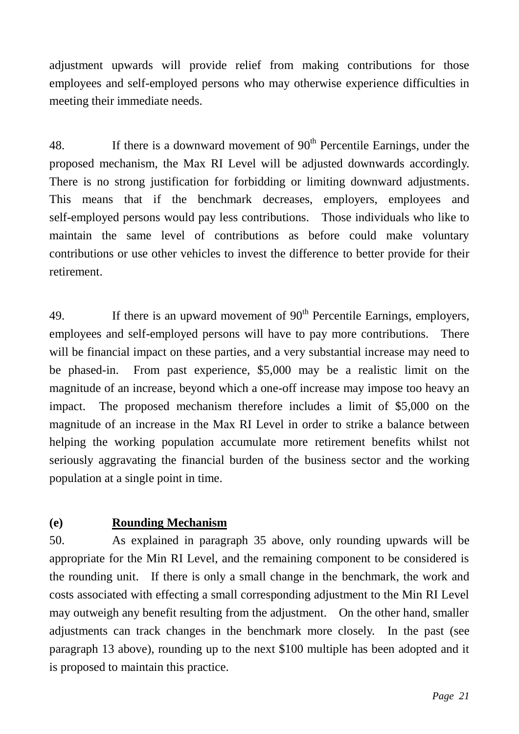adjustment upwards will provide relief from making contributions for those employees and self-employed persons who may otherwise experience difficulties in meeting their immediate needs.

48. If there is a downward movement of  $90<sup>th</sup>$  Percentile Earnings, under the proposed mechanism, the Max RI Level will be adjusted downwards accordingly. There is no strong justification for forbidding or limiting downward adjustments. This means that if the benchmark decreases, employers, employees and self-employed persons would pay less contributions. Those individuals who like to maintain the same level of contributions as before could make voluntary contributions or use other vehicles to invest the difference to better provide for their retirement.

49. If there is an upward movement of  $90<sup>th</sup>$  Percentile Earnings, employers, employees and self-employed persons will have to pay more contributions. There will be financial impact on these parties, and a very substantial increase may need to be phased-in. From past experience, \$5,000 may be a realistic limit on the magnitude of an increase, beyond which a one-off increase may impose too heavy an impact. The proposed mechanism therefore includes a limit of \$5,000 on the magnitude of an increase in the Max RI Level in order to strike a balance between helping the working population accumulate more retirement benefits whilst not seriously aggravating the financial burden of the business sector and the working population at a single point in time.

# **(e) Rounding Mechanism**

50. As explained in paragraph 35 above, only rounding upwards will be appropriate for the Min RI Level, and the remaining component to be considered is the rounding unit. If there is only a small change in the benchmark, the work and costs associated with effecting a small corresponding adjustment to the Min RI Level may outweigh any benefit resulting from the adjustment. On the other hand, smaller adjustments can track changes in the benchmark more closely. In the past (see paragraph 13 above), rounding up to the next \$100 multiple has been adopted and it is proposed to maintain this practice.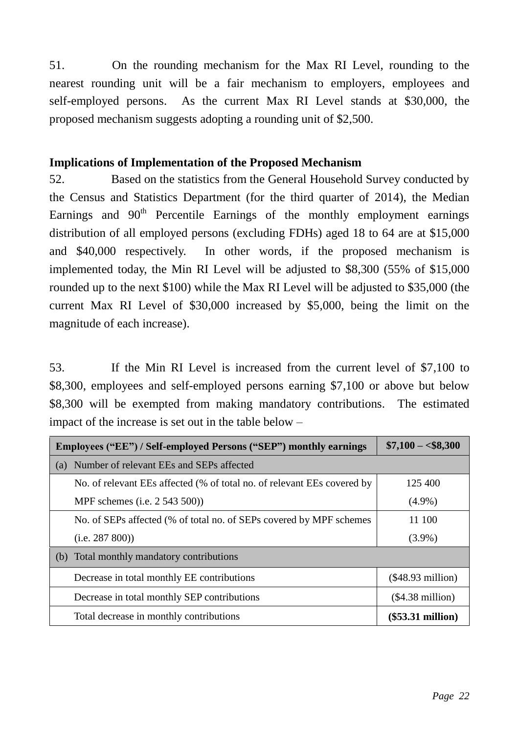51. On the rounding mechanism for the Max RI Level, rounding to the nearest rounding unit will be a fair mechanism to employers, employees and self-employed persons. As the current Max RI Level stands at \$30,000, the proposed mechanism suggests adopting a rounding unit of \$2,500.

# **Implications of Implementation of the Proposed Mechanism**

52. Based on the statistics from the General Household Survey conducted by the Census and Statistics Department (for the third quarter of 2014), the Median Earnings and 90<sup>th</sup> Percentile Earnings of the monthly employment earnings distribution of all employed persons (excluding FDHs) aged 18 to 64 are at \$15,000 and \$40,000 respectively. In other words, if the proposed mechanism is implemented today, the Min RI Level will be adjusted to \$8,300 (55% of \$15,000 rounded up to the next \$100) while the Max RI Level will be adjusted to \$35,000 (the current Max RI Level of \$30,000 increased by \$5,000, being the limit on the magnitude of each increase).

53. If the Min RI Level is increased from the current level of \$7,100 to \$8,300, employees and self-employed persons earning \$7,100 or above but below \$8,300 will be exempted from making mandatory contributions. The estimated impact of the increase is set out in the table below –

| Employees ("EE") / Self-employed Persons ("SEP") monthly earnings       | $$7,100 - $8,300$   |
|-------------------------------------------------------------------------|---------------------|
| Number of relevant EEs and SEPs affected<br>(a)                         |                     |
| No. of relevant EEs affected (% of total no. of relevant EEs covered by | 125 400             |
| MPF schemes (i.e. 2 543 500))                                           | $(4.9\%)$           |
| No. of SEPs affected (% of total no. of SEPs covered by MPF schemes     | 11 100              |
| (i.e. 287 800)                                                          | $(3.9\%)$           |
| Total monthly mandatory contributions<br>(b)                            |                     |
| Decrease in total monthly EE contributions                              | $($48.93$ million)  |
| Decrease in total monthly SEP contributions                             | $($4.38$ million)   |
| Total decrease in monthly contributions                                 | $(\$53.31$ million) |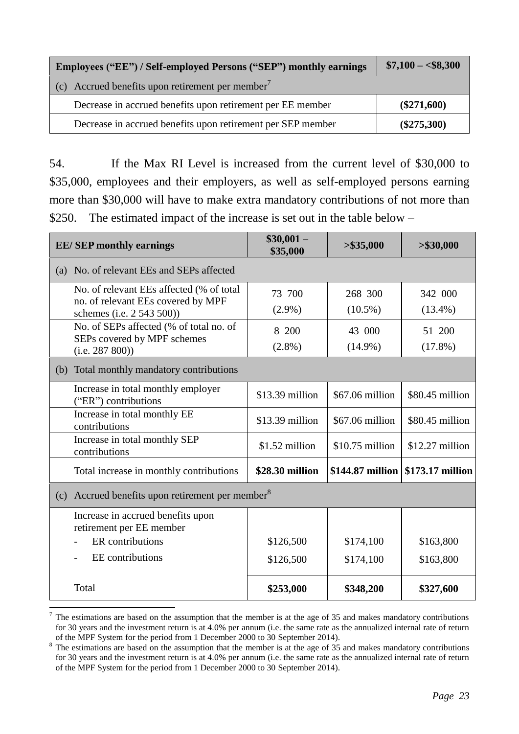| Employees ("EE") / Self-employed Persons ("SEP") monthly earnings | $$7,100 - $8,300$ |
|-------------------------------------------------------------------|-------------------|
| (c) Accrued benefits upon retirement per member <sup>7</sup>      |                   |
| Decrease in accrued benefits upon retirement per EE member        | $(\$271,600)$     |
| Decrease in accrued benefits upon retirement per SEP member       | $(\$275,300)$     |

54. If the Max RI Level is increased from the current level of \$30,000 to \$35,000, employees and their employers, as well as self-employed persons earning more than \$30,000 will have to make extra mandatory contributions of not more than \$250. The estimated impact of the increase is set out in the table below –

| <b>EE/SEP</b> monthly earnings                                                                              | $$30,001-$<br>\$35,000 | > \$35,000            | > \$30,000            |
|-------------------------------------------------------------------------------------------------------------|------------------------|-----------------------|-----------------------|
| No. of relevant EEs and SEPs affected<br>(a)                                                                |                        |                       |                       |
| No. of relevant EEs affected (% of total<br>no. of relevant EEs covered by MPF<br>schemes (i.e. 2 543 500)) | 73 700<br>$(2.9\%)$    | 268 300<br>$(10.5\%)$ | 342 000<br>$(13.4\%)$ |
| No. of SEPs affected (% of total no. of<br>SEPs covered by MPF schemes<br>(i.e. 287 800)                    | 8 200<br>$(2.8\%)$     | 43 000<br>$(14.9\%)$  | 51 200<br>$(17.8\%)$  |
| Total monthly mandatory contributions<br>(b)                                                                |                        |                       |                       |
| Increase in total monthly employer<br>("ER") contributions                                                  | \$13.39 million        | \$67.06 million       | \$80.45 million       |
| Increase in total monthly EE<br>contributions                                                               | \$13.39 million        | \$67.06 million       | \$80.45 million       |
| Increase in total monthly SEP<br>contributions                                                              | \$1.52 million         | \$10.75 million       | $$12.27$ million      |
| Total increase in monthly contributions                                                                     | \$28.30 million        | \$144.87 million      | \$173.17 million      |
| Accrued benefits upon retirement per member <sup>8</sup><br>(c)                                             |                        |                       |                       |
| Increase in accrued benefits upon<br>retirement per EE member                                               |                        |                       |                       |
| ER contributions                                                                                            | \$126,500              | \$174,100             | \$163,800             |
| EE contributions                                                                                            | \$126,500              | \$174,100             | \$163,800             |
| Total                                                                                                       | \$253,000              | \$348,200             | \$327,600             |
|                                                                                                             |                        |                       |                       |

 $7$  The estimations are based on the assumption that the member is at the age of 35 and makes mandatory contributions for 30 years and the investment return is at 4.0% per annum (i.e. the same rate as the annualized internal rate of return of the MPF System for the period from 1 December 2000 to 30 September 2014).

<sup>&</sup>lt;sup>8</sup> The estimations are based on the assumption that the member is at the age of 35 and makes mandatory contributions for 30 years and the investment return is at 4.0% per annum (i.e. the same rate as the annualized internal rate of return of the MPF System for the period from 1 December 2000 to 30 September 2014).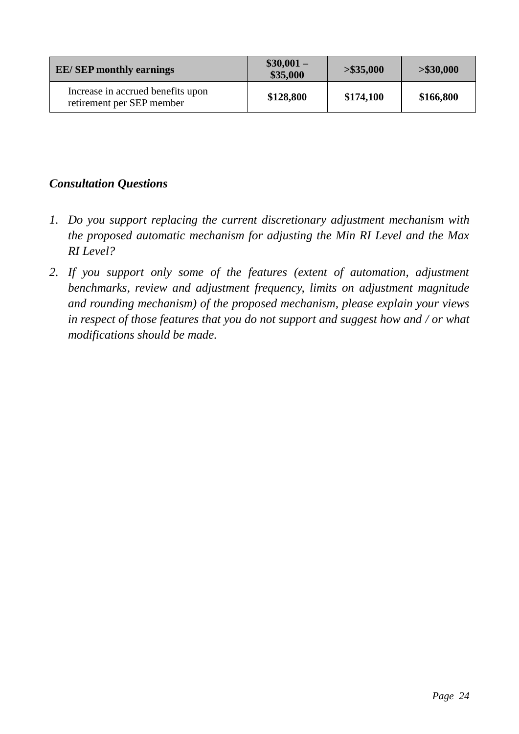| <b>EE/SEP</b> monthly earnings                                 | $$30,001-$<br>\$35,000 | > \$35,000 | > \$30,000 |
|----------------------------------------------------------------|------------------------|------------|------------|
| Increase in accrued benefits upon<br>retirement per SEP member | \$128,800              | \$174,100  | \$166,800  |

# *Consultation Questions*

- *1. Do you support replacing the current discretionary adjustment mechanism with the proposed automatic mechanism for adjusting the Min RI Level and the Max RI Level?*
- *2. If you support only some of the features (extent of automation, adjustment benchmarks, review and adjustment frequency, limits on adjustment magnitude and rounding mechanism) of the proposed mechanism, please explain your views in respect of those features that you do not support and suggest how and / or what modifications should be made.*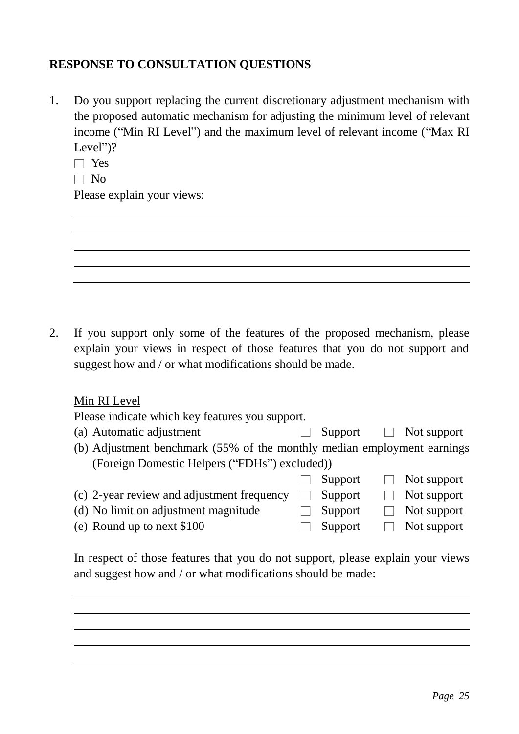# <span id="page-25-0"></span>**RESPONSE TO CONSULTATION QUESTIONS**

- 1. Do you support replacing the current discretionary adjustment mechanism with the proposed automatic mechanism for adjusting the minimum level of relevant income ("Min RI Level") and the maximum level of relevant income ("Max RI Level")?
	- □ Yes
	- $\Box$  No

Please explain your views:



## Min RI Level

Please indicate which key features you support.

- (a) Automatic adjustment  $\Box$  Support  $\Box$  Not support
- (b) Adjustment benchmark (55% of the monthly median employment earnings (Foreign Domestic Helpers ("FDHs") excluded))
- $\Box$  Support  $\Box$  Not support (c) 2-year review and adjustment frequency  $\Box$  Support  $\Box$  Not support
- (d) No limit on adjustment magnitude  $\Box$  Support  $\Box$  Not support
- (e) Round up to next \$100 □ Support □ Not support

In respect of those features that you do not support, please explain your views and suggest how and / or what modifications should be made: